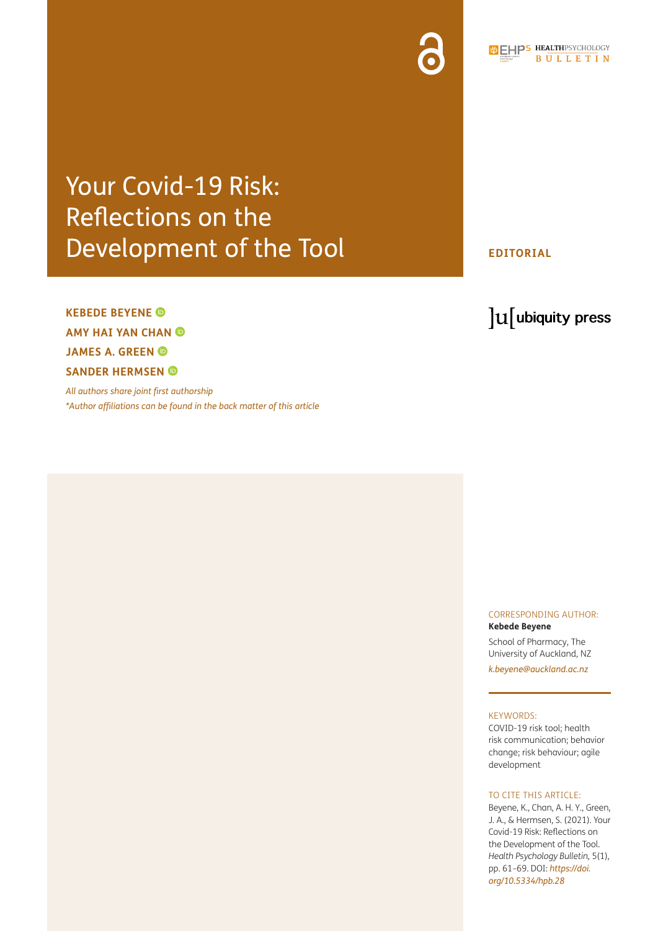## Your Covid-19 Risk: Reflections on the Development of the Tool

### **KEBEDE BEYENE AMY HAI YAN CHAN JAMES A. GREEN SANDER HERMSEN**

*All authors share joint first authorship [\\*Author affiliations can be found in the back matter of this article](#page-6-0)*

#### **EDITORIAL**

### lu ubiquity press

#### CORRESPONDING AUTHOR: **Kebede Beyene**

School of Pharmacy, The University of Auckland, NZ *[k.beyene@auckland.ac.nz](mailto:k.beyene@auckland.ac.nz)*

#### KEYWORDS:

COVID-19 risk tool; health risk communication; behavior change; risk behaviour; agile development

#### TO CITE THIS ARTICLE:

Beyene, K., Chan, A. H. Y., Green, J. A., & Hermsen, S. (2021). Your Covid-19 Risk: Reflections on the Development of the Tool. *Health Psychology Bulletin,* 5(1), pp. 61–69. DOI: *[https://doi.](https://doi.org/10.5334/hpb.28) [org/10.5334/hpb.28](https://doi.org/10.5334/hpb.28)*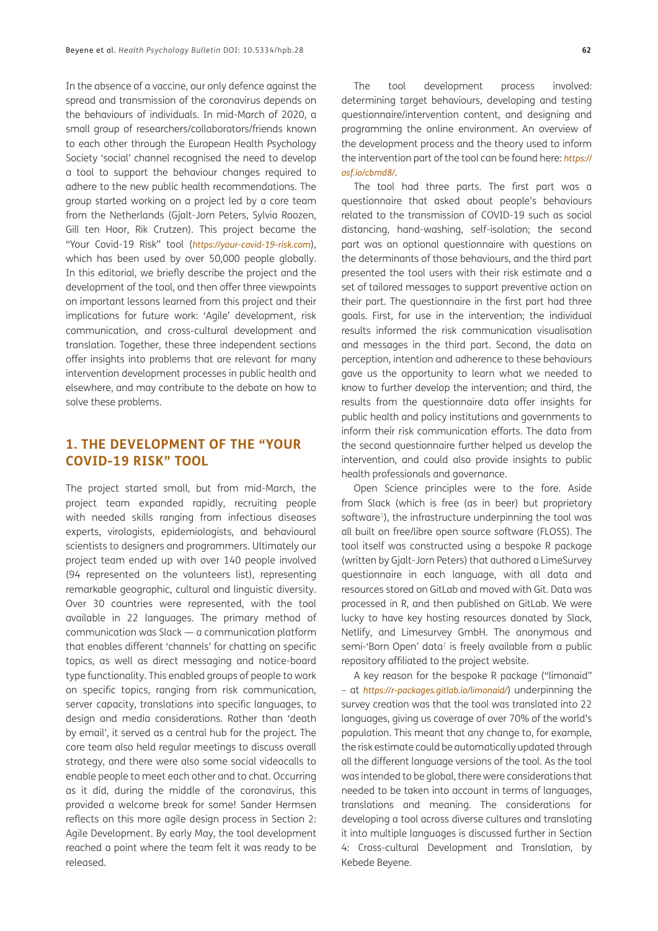In the absence of a vaccine, our only defence against the spread and transmission of the coronavirus depends on the behaviours of individuals. In mid-March of 2020, a small group of researchers/collaborators/friends known to each other through the European Health Psychology Society 'social' channel recognised the need to develop a tool to support the behaviour changes required to adhere to the new public health recommendations. The group started working on a project led by a core team from the Netherlands (Gjalt-Jorn Peters, Sylvia Roozen, Gill ten Hoor, Rik Crutzen). This project became the "Your Covid-19 Risk" tool (*<https://your-covid-19-risk.com>*), which has been used by over 50,000 people globally. In this editorial, we briefly describe the project and the development of the tool, and then offer three viewpoints on important lessons learned from this project and their implications for future work: 'Agile' development, risk communication, and cross-cultural development and translation. Together, these three independent sections offer insights into problems that are relevant for many intervention development processes in public health and elsewhere, and may contribute to the debate on how to solve these problems.

#### **1. THE DEVELOPMENT OF THE "YOUR COVID-19 RISK" TOOL**

The project started small, but from mid-March, the project team expanded rapidly, recruiting people with needed skills ranging from infectious diseases experts, virologists, epidemiologists, and behavioural scientists to designers and programmers. Ultimately our project team ended up with over 140 people involved (94 represented on the volunteers list), representing remarkable geographic, cultural and linguistic diversity. Over 30 countries were represented, with the tool available in 22 languages. The primary method of communication was Slack — a communication platform that enables different 'channels' for chatting on specific topics, as well as direct messaging and notice-board type functionality. This enabled groups of people to work on specific topics, ranging from risk communication, server capacity, translations into specific languages, to design and media considerations. Rather than 'death by email', it served as a central hub for the project. The core team also held regular meetings to discuss overall strategy, and there were also some social videocalls to enable people to meet each other and to chat. Occurring as it did, during the middle of the coronavirus, this provided a welcome break for some! Sander Hermsen reflects on this more agile design process in Section 2: Agile Development. By early May, the tool development reached a point where the team felt it was ready to be released.

The tool development process involved: determining target behaviours, developing and testing questionnaire/intervention content, and designing and programming the online environment. An overview of the development process and the theory used to inform the intervention part of the tool can be found here: *[https://](https://osf.io/cbmd8/) [osf.io/cbmd8/](https://osf.io/cbmd8/)*.

The tool had three parts. The first part was a questionnaire that asked about people's behaviours related to the transmission of COVID-19 such as social distancing, hand-washing, self-isolation; the second part was an optional questionnaire with questions on the determinants of those behaviours, and the third part presented the tool users with their risk estimate and a set of tailored messages to support preventive action on their part. The questionnaire in the first part had three goals. First, for use in the intervention; the individual results informed the risk communication visualisation and messages in the third part. Second, the data on perception, intention and adherence to these behaviours gave us the opportunity to learn what we needed to know to further develop the intervention; and third, the results from the questionnaire data offer insights for public health and policy institutions and governments to inform their risk communication efforts. The data from the second questionnaire further helped us develop the intervention, and could also provide insights to public health professionals and governance.

Open Science principles were to the fore. Aside from Slack (which is free (as in beer) but proprietary software<sup>1</sup>), the infrastructure underpinning the tool was all built on free/libre open source software (FLOSS). The tool itself was constructed using a bespoke R package (written by Gjalt-Jorn Peters) that authored a LimeSurvey questionnaire in each language, with all data and resources stored on GitLab and moved with Git. Data was processed in R, and then published on GitLab. We were lucky to have key hosting resources donated by Slack, Netlify, and Limesurvey GmbH. The anonymous and semi-'Born Open' data<sup>2</sup> is freely available from a public repository affiliated to the project website.

A key reason for the bespoke R package ("limonaid" – at *<https://r-packages.gitlab.io/limonaid/>*) underpinning the survey creation was that the tool was translated into 22 languages, giving us coverage of over 70% of the world's population. This meant that any change to, for example, the risk estimate could be automatically updated through all the different language versions of the tool. As the tool was intended to be global, there were considerations that needed to be taken into account in terms of languages, translations and meaning. The considerations for developing a tool across diverse cultures and translating it into multiple languages is discussed further in Section 4: Cross-cultural Development and Translation, by Kebede Beyene.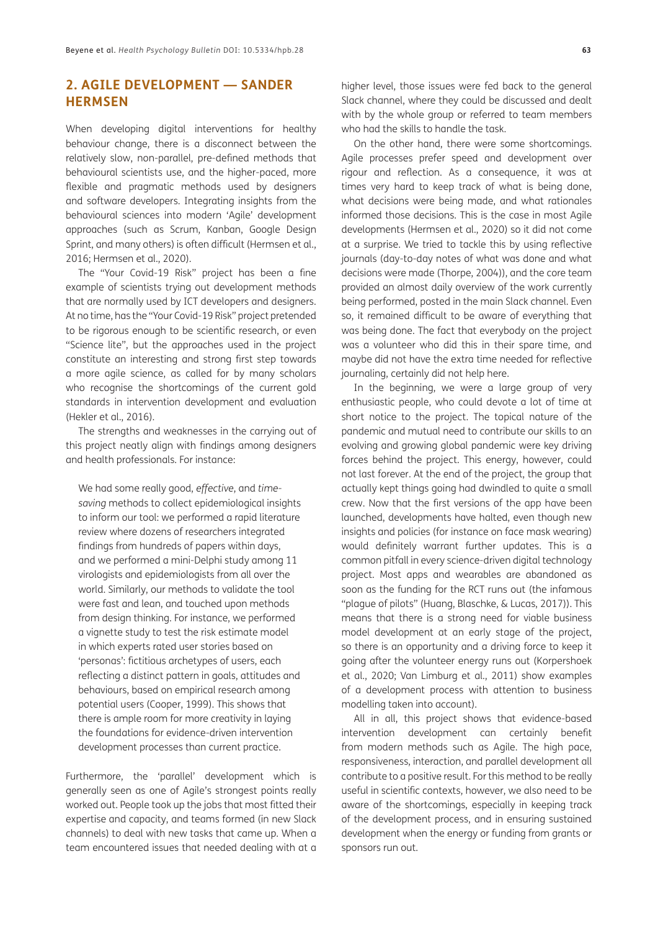#### **2. AGILE DEVELOPMENT — SANDER HERMSEN**

When developing digital interventions for healthy behaviour change, there is a disconnect between the relatively slow, non-parallel, pre-defined methods that behavioural scientists use, and the higher-paced, more flexible and pragmatic methods used by designers and software developers. Integrating insights from the behavioural sciences into modern 'Agile' development approaches (such as Scrum, Kanban, Google Design Sprint, and many others) is often difficult (Hermsen et al., 2016; Hermsen et al., 2020).

The "Your Covid-19 Risk" project has been a fine example of scientists trying out development methods that are normally used by ICT developers and designers. At no time, has the "Your Covid-19 Risk" project pretended to be rigorous enough to be scientific research, or even "Science lite", but the approaches used in the project constitute an interesting and strong first step towards a more agile science, as called for by many scholars who recognise the shortcomings of the current gold standards in intervention development and evaluation (Hekler et al., 2016).

The strengths and weaknesses in the carrying out of this project neatly align with findings among designers and health professionals. For instance:

We had some really good, *effective*, and *timesaving* methods to collect epidemiological insights to inform our tool: we performed a rapid literature review where dozens of researchers integrated findings from hundreds of papers within days, and we performed a mini-Delphi study among 11 virologists and epidemiologists from all over the world. Similarly, our methods to validate the tool were fast and lean, and touched upon methods from design thinking. For instance, we performed a vignette study to test the risk estimate model in which experts rated user stories based on 'personas': fictitious archetypes of users, each reflecting a distinct pattern in goals, attitudes and behaviours, based on empirical research among potential users (Cooper, 1999). This shows that there is ample room for more creativity in laying the foundations for evidence-driven intervention development processes than current practice.

Furthermore, the 'parallel' development which is generally seen as one of Agile's strongest points really worked out. People took up the jobs that most fitted their expertise and capacity, and teams formed (in new Slack channels) to deal with new tasks that came up. When a team encountered issues that needed dealing with at a

higher level, those issues were fed back to the general Slack channel, where they could be discussed and dealt with by the whole group or referred to team members who had the skills to handle the task.

On the other hand, there were some shortcomings. Agile processes prefer speed and development over rigour and reflection. As a consequence, it was at times very hard to keep track of what is being done, what decisions were being made, and what rationales informed those decisions. This is the case in most Agile developments (Hermsen et al., 2020) so it did not come at a surprise. We tried to tackle this by using reflective journals (day-to-day notes of what was done and what decisions were made (Thorpe, 2004)), and the core team provided an almost daily overview of the work currently being performed, posted in the main Slack channel. Even so, it remained difficult to be aware of everything that was being done. The fact that everybody on the project was a volunteer who did this in their spare time, and maybe did not have the extra time needed for reflective journaling, certainly did not help here.

In the beginning, we were a large group of very enthusiastic people, who could devote a lot of time at short notice to the project. The topical nature of the pandemic and mutual need to contribute our skills to an evolving and growing global pandemic were key driving forces behind the project. This energy, however, could not last forever. At the end of the project, the group that actually kept things going had dwindled to quite a small crew. Now that the first versions of the app have been launched, developments have halted, even though new insights and policies (for instance on face mask wearing) would definitely warrant further updates. This is a common pitfall in every science-driven digital technology project. Most apps and wearables are abandoned as soon as the funding for the RCT runs out (the infamous "plague of pilots" (Huang, Blaschke, & Lucas, 2017)). This means that there is a strong need for viable business model development at an early stage of the project, so there is an opportunity and a driving force to keep it going after the volunteer energy runs out (Korpershoek et al., 2020; Van Limburg et al., 2011) show examples of a development process with attention to business modelling taken into account).

All in all, this project shows that evidence-based intervention development can certainly benefit from modern methods such as Agile. The high pace, responsiveness, interaction, and parallel development all contribute to a positive result. For this method to be really useful in scientific contexts, however, we also need to be aware of the shortcomings, especially in keeping track of the development process, and in ensuring sustained development when the energy or funding from grants or sponsors run out.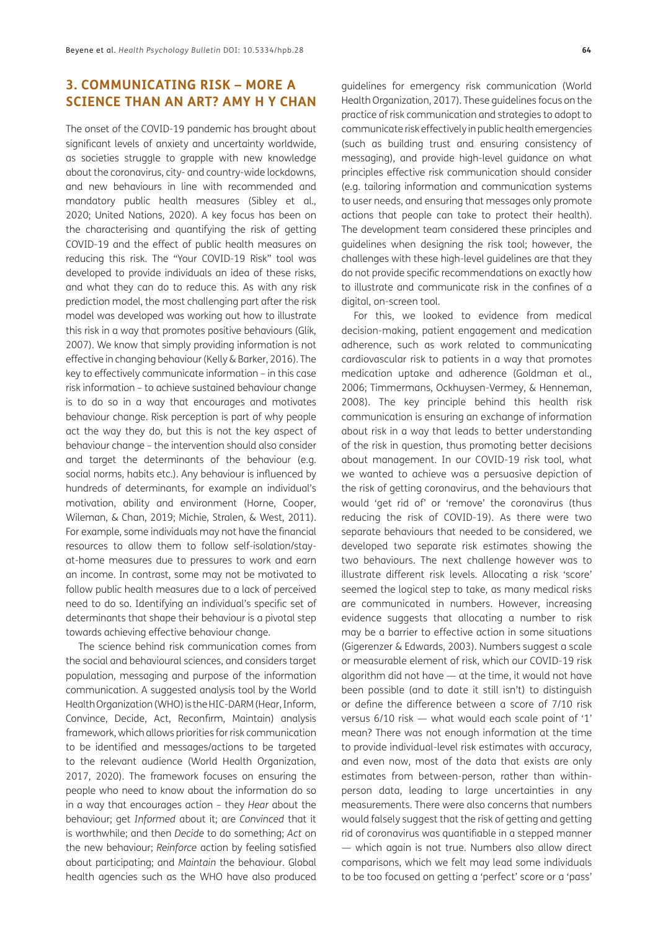#### **3. COMMUNICATING RISK – MORE A SCIENCE THAN AN ART? AMY H Y CHAN**

The onset of the COVID-19 pandemic has brought about significant levels of anxiety and uncertainty worldwide, as societies struggle to grapple with new knowledge about the coronavirus, city- and country-wide lockdowns, and new behaviours in line with recommended and mandatory public health measures (Sibley et al., 2020; United Nations, 2020). A key focus has been on the characterising and quantifying the risk of getting COVID-19 and the effect of public health measures on reducing this risk. The "Your COVID-19 Risk" tool was developed to provide individuals an idea of these risks, and what they can do to reduce this. As with any risk prediction model, the most challenging part after the risk model was developed was working out how to illustrate this risk in a way that promotes positive behaviours (Glik, 2007). We know that simply providing information is not effective in changing behaviour (Kelly & Barker, 2016). The key to effectively communicate information – in this case risk information – to achieve sustained behaviour change is to do so in a way that encourages and motivates behaviour change. Risk perception is part of why people act the way they do, but this is not the key aspect of behaviour change – the intervention should also consider and target the determinants of the behaviour (e.g. social norms, habits etc.). Any behaviour is influenced by hundreds of determinants, for example an individual's motivation, ability and environment (Horne, Cooper, Wileman, & Chan, 2019; Michie, Stralen, & West, 2011). For example, some individuals may not have the financial resources to allow them to follow self-isolation/stayat-home measures due to pressures to work and earn an income. In contrast, some may not be motivated to follow public health measures due to a lack of perceived need to do so. Identifying an individual's specific set of determinants that shape their behaviour is a pivotal step towards achieving effective behaviour change.

The science behind risk communication comes from the social and behavioural sciences, and considers target population, messaging and purpose of the information communication. A suggested analysis tool by the World Health Organization (WHO) is the HIC-DARM (Hear, Inform, Convince, Decide, Act, Reconfirm, Maintain) analysis framework, which allows priorities for risk communication to be identified and messages/actions to be targeted to the relevant audience (World Health Organization, 2017, 2020). The framework focuses on ensuring the people who need to know about the information do so in a way that encourages action – they *Hear* about the behaviour; get *Informed* about it; are *Convinced* that it is worthwhile; and then *Decide* to do something; *Act* on the new behaviour; *Reinforce* action by feeling satisfied about participating; and *Maintain* the behaviour. Global health agencies such as the WHO have also produced

guidelines for emergency risk communication (World Health Organization, 2017). These guidelines focus on the practice of risk communication and strategies to adopt to communicate risk effectively in public health emergencies (such as building trust and ensuring consistency of messaging), and provide high-level guidance on what principles effective risk communication should consider (e.g. tailoring information and communication systems to user needs, and ensuring that messages only promote actions that people can take to protect their health). The development team considered these principles and guidelines when designing the risk tool; however, the challenges with these high-level guidelines are that they do not provide specific recommendations on exactly how to illustrate and communicate risk in the confines of a digital, on-screen tool.

For this, we looked to evidence from medical decision-making, patient engagement and medication adherence, such as work related to communicating cardiovascular risk to patients in a way that promotes medication uptake and adherence (Goldman et al., 2006; Timmermans, Ockhuysen-Vermey, & Henneman, 2008). The key principle behind this health risk communication is ensuring an exchange of information about risk in a way that leads to better understanding of the risk in question, thus promoting better decisions about management. In our COVID-19 risk tool, what we wanted to achieve was a persuasive depiction of the risk of getting coronavirus, and the behaviours that would 'get rid of' or 'remove' the coronavirus (thus reducing the risk of COVID-19). As there were two separate behaviours that needed to be considered, we developed two separate risk estimates showing the two behaviours. The next challenge however was to illustrate different risk levels. Allocating a risk 'score' seemed the logical step to take, as many medical risks are communicated in numbers. However, increasing evidence suggests that allocating a number to risk may be a barrier to effective action in some situations (Gigerenzer & Edwards, 2003). Numbers suggest a scale or measurable element of risk, which our COVID-19 risk algorithm did not have — at the time, it would not have been possible (and to date it still isn't) to distinguish or define the difference between a score of 7/10 risk versus 6/10 risk — what would each scale point of '1' mean? There was not enough information at the time to provide individual-level risk estimates with accuracy, and even now, most of the data that exists are only estimates from between-person, rather than withinperson data, leading to large uncertainties in any measurements. There were also concerns that numbers would falsely suggest that the risk of getting and getting rid of coronavirus was quantifiable in a stepped manner — which again is not true. Numbers also allow direct comparisons, which we felt may lead some individuals to be too focused on getting a 'perfect' score or a 'pass'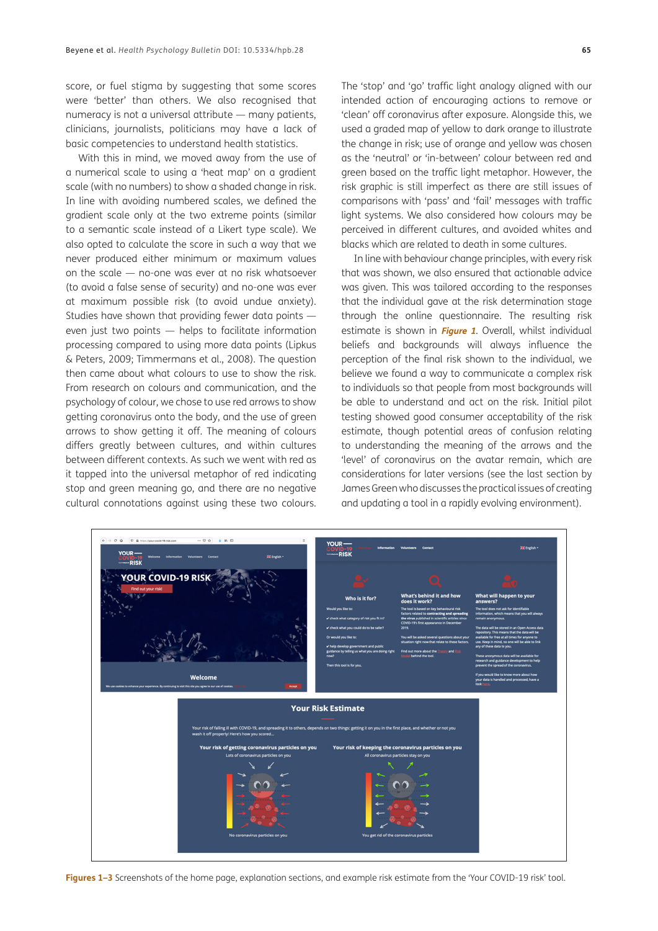score, or fuel stigma by suggesting that some scores were 'better' than others. We also recognised that numeracy is not a universal attribute — many patients, clinicians, journalists, politicians may have a lack of basic competencies to understand health statistics.

With this in mind, we moved away from the use of a numerical scale to using a 'heat map' on a gradient scale (with no numbers) to show a shaded change in risk. In line with avoiding numbered scales, we defined the gradient scale only at the two extreme points (similar to a semantic scale instead of a Likert type scale). We also opted to calculate the score in such a way that we never produced either minimum or maximum values on the scale — no-one was ever at no risk whatsoever (to avoid a false sense of security) and no-one was ever at maximum possible risk (to avoid undue anxiety). Studies have shown that providing fewer data points even just two points — helps to facilitate information processing compared to using more data points (Lipkus & Peters, 2009; Timmermans et al., 2008). The question then came about what colours to use to show the risk. From research on colours and communication, and the psychology of colour, we chose to use red arrows to show getting coronavirus onto the body, and the use of green arrows to show getting it off. The meaning of colours differs greatly between cultures, and within cultures between different contexts. As such we went with red as it tapped into the universal metaphor of red indicating stop and green meaning go, and there are no negative cultural connotations against using these two colours.

The 'stop' and 'go' traffic light analogy aligned with our intended action of encouraging actions to remove or 'clean' off coronavirus after exposure. Alongside this, we used a graded map of yellow to dark orange to illustrate the change in risk; use of orange and yellow was chosen as the 'neutral' or 'in-between' colour between red and green based on the traffic light metaphor. However, the risk graphic is still imperfect as there are still issues of comparisons with 'pass' and 'fail' messages with traffic light systems. We also considered how colours may be perceived in different cultures, and avoided whites and blacks which are related to death in some cultures.

In line with behaviour change principles, with every risk that was shown, we also ensured that actionable advice was given. This was tailored according to the responses that the individual gave at the risk determination stage through the online questionnaire. The resulting risk estimate is shown in **[Figure 1](#page-4-0)**. Overall, whilst individual beliefs and backgrounds will always influence the perception of the final risk shown to the individual, we believe we found a way to communicate a complex risk to individuals so that people from most backgrounds will be able to understand and act on the risk. Initial pilot testing showed good consumer acceptability of the risk estimate, though potential areas of confusion relating to understanding the meaning of the arrows and the 'level' of coronavirus on the avatar remain, which are considerations for later versions (see the last section by James Green who discusses the practical issues of creating and updating a tool in a rapidly evolving environment).



**YOUR PISK** 

<span id="page-4-0"></span>**Figures 1–3** Screenshots of the home page, explanation sections, and example risk estimate from the 'Your COVID-19 risk' tool.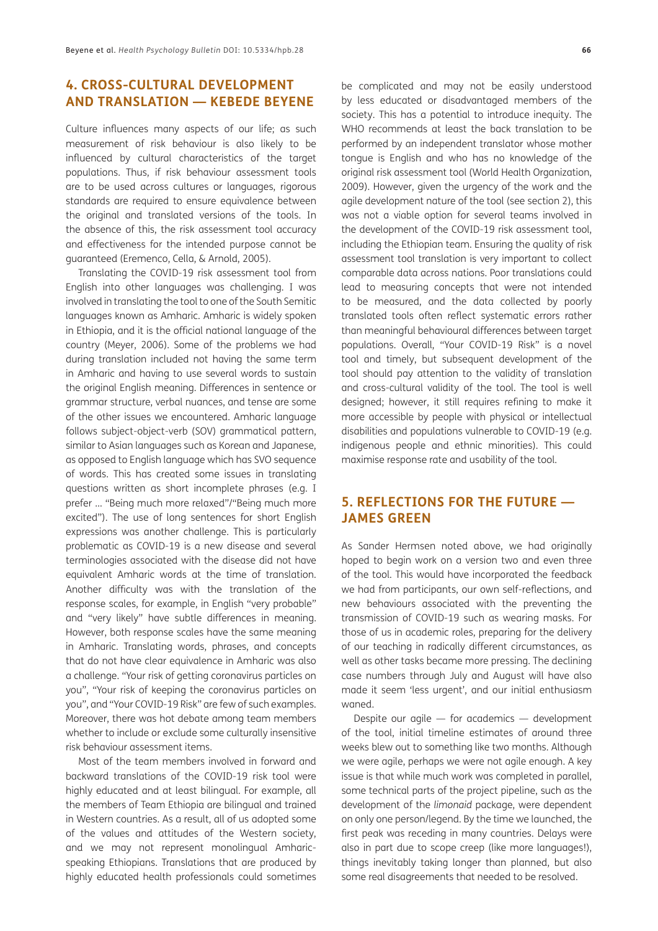#### **4. CROSS-CULTURAL DEVELOPMENT AND TRANSLATION — KEBEDE BEYENE**

Culture influences many aspects of our life; as such measurement of risk behaviour is also likely to be influenced by cultural characteristics of the target populations. Thus, if risk behaviour assessment tools are to be used across cultures or languages, rigorous standards are required to ensure equivalence between the original and translated versions of the tools. In the absence of this, the risk assessment tool accuracy and effectiveness for the intended purpose cannot be guaranteed (Eremenco, Cella, & Arnold, 2005).

Translating the COVID-19 risk assessment tool from English into other languages was challenging. I was involved in translating the tool to one of the South Semitic languages known as Amharic. Amharic is widely spoken in Ethiopia, and it is the official national language of the country (Meyer, 2006). Some of the problems we had during translation included not having the same term in Amharic and having to use several words to sustain the original English meaning. Differences in sentence or grammar structure, verbal nuances, and tense are some of the other issues we encountered. Amharic language follows subject-object-verb (SOV) grammatical pattern, similar to Asian languages such as Korean and Japanese, as opposed to English language which has SVO sequence of words. This has created some issues in translating questions written as short incomplete phrases (e.g. I prefer … "Being much more relaxed"/"Being much more excited"). The use of long sentences for short English expressions was another challenge. This is particularly problematic as COVID-19 is a new disease and several terminologies associated with the disease did not have equivalent Amharic words at the time of translation. Another difficulty was with the translation of the response scales, for example, in English "very probable" and "very likely" have subtle differences in meaning. However, both response scales have the same meaning in Amharic. Translating words, phrases, and concepts that do not have clear equivalence in Amharic was also a challenge. "Your risk of getting coronavirus particles on you", "Your risk of keeping the coronavirus particles on you", and "Your COVID-19 Risk" are few of such examples. Moreover, there was hot debate among team members whether to include or exclude some culturally insensitive risk behaviour assessment items.

Most of the team members involved in forward and backward translations of the COVID-19 risk tool were highly educated and at least bilingual. For example, all the members of Team Ethiopia are bilingual and trained in Western countries. As a result, all of us adopted some of the values and attitudes of the Western society, and we may not represent monolingual Amharicspeaking Ethiopians. Translations that are produced by highly educated health professionals could sometimes

be complicated and may not be easily understood by less educated or disadvantaged members of the society. This has a potential to introduce inequity. The WHO recommends at least the back translation to be performed by an independent translator whose mother tongue is English and who has no knowledge of the original risk assessment tool (World Health Organization, 2009). However, given the urgency of the work and the agile development nature of the tool (see section 2), this was not a viable option for several teams involved in the development of the COVID-19 risk assessment tool, including the Ethiopian team. Ensuring the quality of risk assessment tool translation is very important to collect comparable data across nations. Poor translations could lead to measuring concepts that were not intended to be measured, and the data collected by poorly translated tools often reflect systematic errors rather than meaningful behavioural differences between target populations. Overall, "Your COVID-19 Risk" is a novel tool and timely, but subsequent development of the tool should pay attention to the validity of translation and cross-cultural validity of the tool. The tool is well designed; however, it still requires refining to make it more accessible by people with physical or intellectual disabilities and populations vulnerable to COVID-19 (e.g. indigenous people and ethnic minorities). This could maximise response rate and usability of the tool.

#### **5. REFLECTIONS FOR THE FUTURE — JAMES GREEN**

As Sander Hermsen noted above, we had originally hoped to begin work on a version two and even three of the tool. This would have incorporated the feedback we had from participants, our own self-reflections, and new behaviours associated with the preventing the transmission of COVID-19 such as wearing masks. For those of us in academic roles, preparing for the delivery of our teaching in radically different circumstances, as well as other tasks became more pressing. The declining case numbers through July and August will have also made it seem 'less urgent', and our initial enthusiasm waned.

Despite our agile — for academics — development of the tool, initial timeline estimates of around three weeks blew out to something like two months. Although we were agile, perhaps we were not agile enough. A key issue is that while much work was completed in parallel, some technical parts of the project pipeline, such as the development of the *limonaid* package, were dependent on only one person/legend. By the time we launched, the first peak was receding in many countries. Delays were also in part due to scope creep (like more languages!), things inevitably taking longer than planned, but also some real disagreements that needed to be resolved.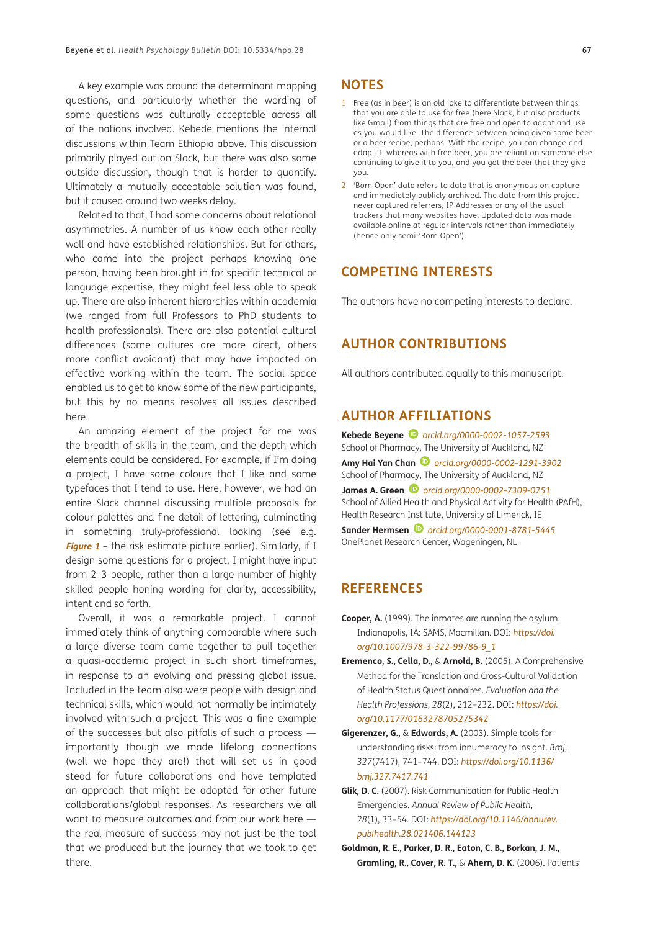A key example was around the determinant mapping questions, and particularly whether the wording of some questions was culturally acceptable across all of the nations involved. Kebede mentions the internal discussions within Team Ethiopia above. This discussion primarily played out on Slack, but there was also some outside discussion, though that is harder to quantify. Ultimately a mutually acceptable solution was found, but it caused around two weeks delay.

Related to that, I had some concerns about relational asymmetries. A number of us know each other really well and have established relationships. But for others, who came into the project perhaps knowing one person, having been brought in for specific technical or language expertise, they might feel less able to speak up. There are also inherent hierarchies within academia (we ranged from full Professors to PhD students to health professionals). There are also potential cultural differences (some cultures are more direct, others more conflict avoidant) that may have impacted on effective working within the team. The social space enabled us to get to know some of the new participants, but this by no means resolves all issues described here.

An amazing element of the project for me was the breadth of skills in the team, and the depth which elements could be considered. For example, if I'm doing a project, I have some colours that I like and some typefaces that I tend to use. Here, however, we had an entire Slack channel discussing multiple proposals for colour palettes and fine detail of lettering, culminating in something truly-professional looking (see e.g. **[Figure 1](#page-4-0)** – the risk estimate picture earlier). Similarly, if I design some questions for a project, I might have input from 2–3 people, rather than a large number of highly skilled people honing wording for clarity, accessibility, intent and so forth.

Overall, it was a remarkable project. I cannot immediately think of anything comparable where such a large diverse team came together to pull together a quasi-academic project in such short timeframes, in response to an evolving and pressing global issue. Included in the team also were people with design and technical skills, which would not normally be intimately involved with such a project. This was a fine example of the successes but also pitfalls of such a process importantly though we made lifelong connections (well we hope they are!) that will set us in good stead for future collaborations and have templated an approach that might be adopted for other future collaborations/global responses. As researchers we all want to measure outcomes and from our work here the real measure of success may not just be the tool that we produced but the journey that we took to get there.

#### **NOTES**

- 1 Free (as in beer) is an old joke to differentiate between things that you are able to use for free (here Slack, but also products like Gmail) from things that are free and open to adapt and use as you would like. The difference between being given some beer or a beer recipe, perhaps. With the recipe, you can change and adapt it, whereas with free beer, you are reliant on someone else continuing to give it to you, and you get the beer that they give you.
- 2 'Born Open' data refers to data that is anonymous on capture, and immediately publicly archived. The data from this project never captured referrers, IP Addresses or any of the usual trackers that many websites have. Updated data was made available online at regular intervals rather than immediately (hence only semi-'Born Open').

#### **COMPETING INTERESTS**

The authors have no competing interests to declare.

#### **AUTHOR CONTRIBUTIONS**

All authors contributed equally to this manuscript.

#### <span id="page-6-0"></span>**AUTHOR AFFILIATIONS**

**Kebede Beyene** *[orcid.org/0000-0002-1057-2593](https://orcid.org/0000-0002-1057-2593)* School of Pharmacy, The University of Auckland, NZ **Amy Hai Yan Chan** *[orcid.org/0000-0002-1291-3902](https://orcid.org/0000-0002-1291-3902)* School of Pharmacy, The University of Auckland, NZ **James A. Green** *[orcid.org/0000-0002-7309-0751](https://orcid.org/0000-0002-7309-0751)* School of Allied Health and Physical Activity for Health (PAfH), Health Research Institute, University of Limerick, IE **Sander Hermsen** *[orcid.org/0000-0001-8781-5445](https://orcid.org/0000-0001-8781-5445)* OnePlanet Research Center, Wageningen, NL

#### **REFERENCES**

- **Cooper, A.** (1999). The inmates are running the asylum. Indianapolis, IA: SAMS, Macmillan. DOI: *[https://doi.](https://doi.org/10.1007/978-3-322-99786-9_1) [org/10.1007/978-3-322-99786-9\\_1](https://doi.org/10.1007/978-3-322-99786-9_1)*
- **Eremenco, S., Cella, D.,** & **Arnold, B.** (2005). A Comprehensive Method for the Translation and Cross-Cultural Validation of Health Status Questionnaires. *Evaluation and the Health Professions, 28*(2), 212–232. DOI: *[https://doi.](https://doi.org/10.1177/0163278705275342) [org/10.1177/0163278705275342](https://doi.org/10.1177/0163278705275342)*
- **Gigerenzer, G.,** & **Edwards, A.** (2003). Simple tools for understanding risks: from innumeracy to insight. *Bmj*, *327*(7417), 741–744. DOI: *[https://doi.org/10.1136/](https://doi.org/10.1136/bmj.327.7417.741) [bmj.327.7417.741](https://doi.org/10.1136/bmj.327.7417.741)*
- **Glik, D. C.** (2007). Risk Communication for Public Health Emergencies. *Annual Review of Public Health*, *28*(1), 33–54. DOI: *[https://doi.org/10.1146/annurev.](https://doi.org/10.1146/annurev.publhealth.28.021406.144123) [publhealth.28.021406.144123](https://doi.org/10.1146/annurev.publhealth.28.021406.144123)*
- **Goldman, R. E., Parker, D. R., Eaton, C. B., Borkan, J. M., Gramling, R., Cover, R. T.,** & **Ahern, D. K.** (2006). Patients'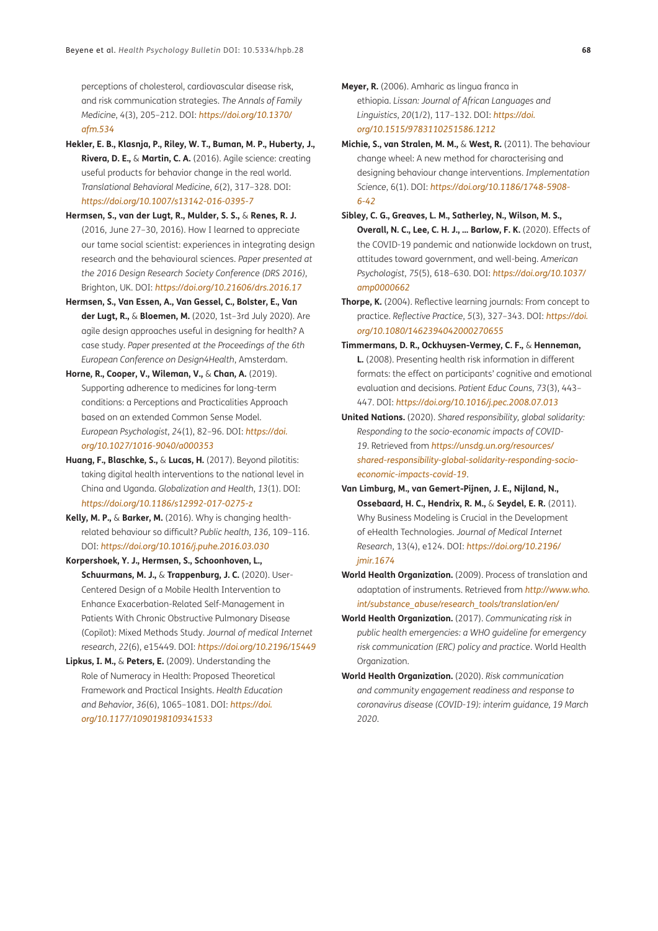perceptions of cholesterol, cardiovascular disease risk, and risk communication strategies. *The Annals of Family Medicine*, *4*(3), 205–212. DOI: *[https://doi.org/10.1370/](https://doi.org/10.1370/afm.534) [afm.534](https://doi.org/10.1370/afm.534)*

- **Hekler, E. B., Klasnja, P., Riley, W. T., Buman, M. P., Huberty, J., Rivera, D. E.,** & **Martin, C. A.** (2016). Agile science: creating useful products for behavior change in the real world. *Translational Behavioral Medicine*, *6*(2), 317–328. DOI: *<https://doi.org/10.1007/s13142-016-0395-7>*
- **Hermsen, S., van der Lugt, R., Mulder, S. S.,** & **Renes, R. J.** (2016, June 27–30, 2016). How I learned to appreciate our tame social scientist: experiences in integrating design research and the behavioural sciences. *Paper presented at the 2016 Design Research Society Conference (DRS 2016)*, Brighton, UK. DOI: *<https://doi.org/10.21606/drs.2016.17>*
- **Hermsen, S., Van Essen, A., Van Gessel, C., Bolster, E., Van der Lugt, R.,** & **Bloemen, M.** (2020, 1st–3rd July 2020). Are agile design approaches useful in designing for health? A case study*. Paper presented at the Proceedings of the 6th European Conference on Design4Health*, Amsterdam.
- **Horne, R., Cooper, V., Wileman, V.,** & **Chan, A.** (2019). Supporting adherence to medicines for long-term conditions: a Perceptions and Practicalities Approach based on an extended Common Sense Model. *European Psychologist*, *24*(1), 82–96. DOI: *[https://doi.](https://doi.org/10.1027/1016-9040/a000353) [org/10.1027/1016-9040/a000353](https://doi.org/10.1027/1016-9040/a000353)*
- **Huang, F., Blaschke, S.,** & **Lucas, H.** (2017). Beyond pilotitis: taking digital health interventions to the national level in China and Uganda. *Globalization and Health*, *13*(1). DOI: *<https://doi.org/10.1186/s12992-017-0275-z>*
- **Kelly, M. P.,** & **Barker, M.** (2016). Why is changing healthrelated behaviour so difficult? *Public health*, *136*, 109–116. DOI: *<https://doi.org/10.1016/j.puhe.2016.03.030>*
- **Korpershoek, Y. J., Hermsen, S., Schoonhoven, L., Schuurmans, M. J.,** & **Trappenburg, J. C.** (2020). User-Centered Design of a Mobile Health Intervention to Enhance Exacerbation-Related Self-Management in Patients With Chronic Obstructive Pulmonary Disease (Copilot): Mixed Methods Study. *Journal of medical Internet research*, *22*(6), e15449. DOI: *<https://doi.org/10.2196/15449>*
- **Lipkus, I. M.,** & **Peters, E.** (2009). Understanding the Role of Numeracy in Health: Proposed Theoretical Framework and Practical Insights. *Health Education and Behavior*, *36*(6), 1065–1081. DOI: *[https://doi.](https://doi.org/10.1177/1090198109341533) [org/10.1177/1090198109341533](https://doi.org/10.1177/1090198109341533)*

**Meyer, R.** (2006). Amharic as lingua franca in ethiopia. *Lissan: Journal of African Languages and Linguistics*, *20*(1/2), 117–132. DOI: *[https://doi.](https://doi.org/10.1515/9783110251586.1212) [org/10.1515/9783110251586.1212](https://doi.org/10.1515/9783110251586.1212)*

- **Michie, S., van Stralen, M. M.,** & **West, R.** (2011). The behaviour change wheel: A new method for characterising and designing behaviour change interventions. *Implementation Science*, 6(1). DOI: *[https://doi.org/10.1186/1748-5908-](https://doi.org/10.1186/1748-5908-6-42) [6-42](https://doi.org/10.1186/1748-5908-6-42)*
- **Sibley, C. G., Greaves, L. M., Satherley, N., Wilson, M. S., Overall, N. C., Lee, C. H. J., … Barlow, F. K.** (2020). Effects of the COVID-19 pandemic and nationwide lockdown on trust, attitudes toward government, and well-being. *American Psychologist*, *75*(5), 618–630. DOI: *[https://doi.org/10.1037/](https://doi.org/10.1037/amp0000662) [amp0000662](https://doi.org/10.1037/amp0000662)*
- **Thorpe, K.** (2004). Reflective learning journals: From concept to practice. *Reflective Practice*, *5*(3), 327–343. DOI: *[https://doi.](https://doi.org/10.1080/1462394042000270655) [org/10.1080/1462394042000270655](https://doi.org/10.1080/1462394042000270655)*
- **Timmermans, D. R., Ockhuysen-Vermey, C. F.,** & **Henneman, L.** (2008). Presenting health risk information in different formats: the effect on participants' cognitive and emotional evaluation and decisions. *Patient Educ Couns*, *73*(3), 443– 447. DOI: *<https://doi.org/10.1016/j.pec.2008.07.013>*
- **United Nations.** (2020). *Shared responsibility, global solidarity: Responding to the socio-economic impacts of COVID-19*. Retrieved from *[https://unsdg.un.org/resources/](https://unsdg.un.org/resources/shared-responsibility-global-solidarity-responding-socio-economic-impacts-covid-19) [shared-responsibility-global-solidarity-responding-socio](https://unsdg.un.org/resources/shared-responsibility-global-solidarity-responding-socio-economic-impacts-covid-19)[economic-impacts-covid-19](https://unsdg.un.org/resources/shared-responsibility-global-solidarity-responding-socio-economic-impacts-covid-19)*.
- **Van Limburg, M., van Gemert-Pijnen, J. E., Nijland, N., Ossebaard, H. C., Hendrix, R. M.,** & **Seydel, E. R.** (2011). Why Business Modeling is Crucial in the Development of eHealth Technologies. *Journal of Medical Internet Research*, 13(4), e124. DOI: *[https://doi.org/10.2196/](https://doi.org/10.2196/jmir.1674) [jmir.1674](https://doi.org/10.2196/jmir.1674)*
- **World Health Organization.** (2009). Process of translation and adaptation of instruments. Retrieved from *[http://www.who.](http://www.who.int/substance_abuse/research_tools/translation/en/) [int/substance\\_abuse/research\\_tools/translation/en/](http://www.who.int/substance_abuse/research_tools/translation/en/)*
- **World Health Organization.** (2017). *Communicating risk in public health emergencies: a WHO guideline for emergency risk communication (ERC) policy and practice*. World Health Organization.
- **World Health Organization.** (2020). *Risk communication and community engagement readiness and response to coronavirus disease (COVID-19): interim guidance, 19 March 2020*.